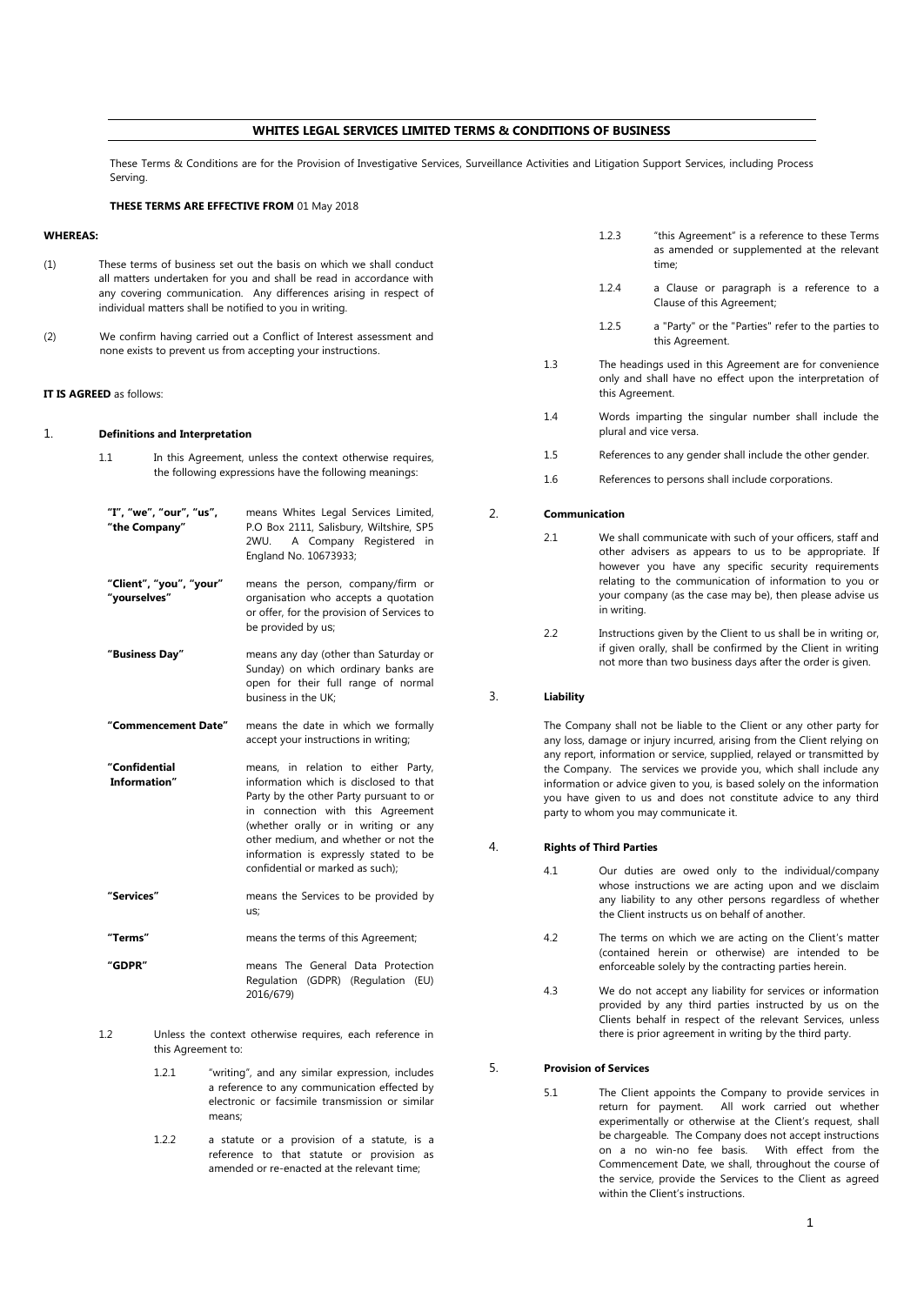# **WHITES LEGAL SERVICES LIMITED TERMS & CONDITIONS OF BUSINESS**

These Terms & Conditions are for the Provision of Investigative Services, Surveillance Activities and Litigation Support Services, including Process Serving.

# **THESE TERMS ARE EFFECTIVE FROM** 01 May 2018

## **WHEREAS:**

- (1) These terms of business set out the basis on which we shall conduct all matters undertaken for you and shall be read in accordance with any covering communication. Any differences arising in respect of individual matters shall be notified to you in writing.
- (2) We confirm having carried out a Conflict of Interest assessment and none exists to prevent us from accepting your instructions.

### **IT IS AGREED** as follows:

### 1. **Definitions and Interpretation**

- 1.1 In this Agreement, unless the context otherwise requires, the following expressions have the following meanings: **"I", "we", "our", "us", "the Company"** means Whites Legal Services Limited, P.O Box 2111, Salisbury, Wiltshire, SP5<br>2WU. A Company Registered in A Company Registered in England No. 10673933; **"Client", "you", "your" "yourselves"** means the person, company/firm or organisation who accepts a quotation or offer, for the provision of Services to be provided by us; **"Business Day"** means any day (other than Saturday or Sunday) on which ordinary banks are open for their full range of normal business in the UK; **"Commencement Date"** means the date in which we formally accept your instructions in writing; **"Confidential Information"** means, in relation to either Party, information which is disclosed to that Party by the other Party pursuant to or in connection with this Agreement (whether orally or in writing or any other medium, and whether or not the information is expressly stated to be confidential or marked as such); **"Services"** means the Services to be provided by us; **"Terms"** means the terms of this Agreement; **"GDPR"** means The General Data Protection Regulation (GDPR) (Regulation (EU) 2016/679)
- 1.2 Unless the context otherwise requires, each reference in this Agreement to:
	- 1.2.1 "writing", and any similar expression, includes a reference to any communication effected by electronic or facsimile transmission or similar means;
	- 1.2.2 a statute or a provision of a statute, is a reference to that statute or provision as amended or re-enacted at the relevant time;
- 1.2.3 "this Agreement" is a reference to these Terms as amended or supplemented at the relevant time;
- 1.2.4 a Clause or paragraph is a reference to a Clause of this Agreement;
- 1.2.5 a "Party" or the "Parties" refer to the parties to this Agreement.
- 1.3 The headings used in this Agreement are for convenience only and shall have no effect upon the interpretation of this Agreement.
- 1.4 Words imparting the singular number shall include the plural and vice versa.
- 1.5 References to any gender shall include the other gender.
- 1.6 References to persons shall include corporations.

#### 2. **Communication**

- 2.1 We shall communicate with such of your officers, staff and other advisers as appears to us to be appropriate. If however you have any specific security requirements relating to the communication of information to you or your company (as the case may be), then please advise us in writing.
	- 2.2 Instructions given by the Client to us shall be in writing or, if given orally, shall be confirmed by the Client in writing not more than two business days after the order is given.

## 3. **Liability**

The Company shall not be liable to the Client or any other party for any loss, damage or injury incurred, arising from the Client relying on any report, information or service, supplied, relayed or transmitted by the Company. The services we provide you, which shall include any information or advice given to you, is based solely on the information you have given to us and does not constitute advice to any third party to whom you may communicate it.

## 4. **Rights of Third Parties**

- 4.1 Our duties are owed only to the individual/company whose instructions we are acting upon and we disclaim any liability to any other persons regardless of whether the Client instructs us on behalf of another.
- 4.2 The terms on which we are acting on the Client's matter (contained herein or otherwise) are intended to be enforceable solely by the contracting parties herein.
- 4.3 We do not accept any liability for services or information provided by any third parties instructed by us on the Clients behalf in respect of the relevant Services, unless there is prior agreement in writing by the third party.

### 5. **Provision of Services**

5.1 The Client appoints the Company to provide services in return for payment. All work carried out whether experimentally or otherwise at the Client's request, shall be chargeable. The Company does not accept instructions on a no win-no fee basis. With effect from the Commencement Date, we shall, throughout the course of the service, provide the Services to the Client as agreed within the Client's instructions.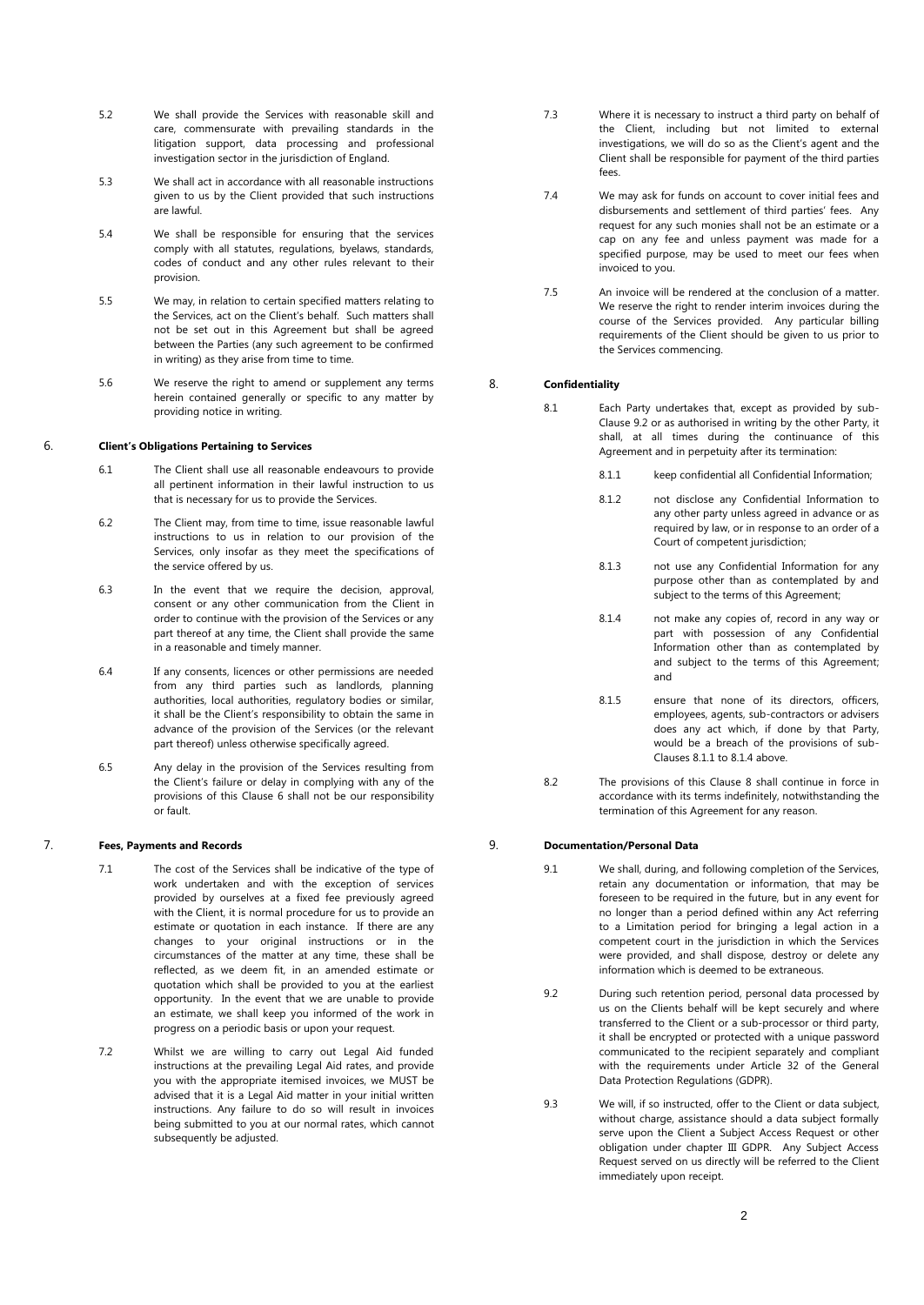- 5.2 We shall provide the Services with reasonable skill and care, commensurate with prevailing standards in the litigation support, data processing and professional investigation sector in the jurisdiction of England.
- 5.3 We shall act in accordance with all reasonable instructions given to us by the Client provided that such instructions are lawful.
- 5.4 We shall be responsible for ensuring that the services comply with all statutes, regulations, byelaws, standards, codes of conduct and any other rules relevant to their provision.
- 5.5 We may, in relation to certain specified matters relating to the Services, act on the Client's behalf. Such matters shall not be set out in this Agreement but shall be agreed between the Parties (any such agreement to be confirmed in writing) as they arise from time to time.
- 5.6 We reserve the right to amend or supplement any terms herein contained generally or specific to any matter by providing notice in writing.

#### 6. **Client's Obligations Pertaining to Services**

- 6.1 The Client shall use all reasonable endeavours to provide all pertinent information in their lawful instruction to us that is necessary for us to provide the Services.
- 6.2 The Client may, from time to time, issue reasonable lawful instructions to us in relation to our provision of the Services, only insofar as they meet the specifications of the service offered by us.
- 6.3 In the event that we require the decision, approval, consent or any other communication from the Client in order to continue with the provision of the Services or any part thereof at any time, the Client shall provide the same in a reasonable and timely manner.
- 6.4 If any consents, licences or other permissions are needed from any third parties such as landlords, planning authorities, local authorities, regulatory bodies or similar, it shall be the Client's responsibility to obtain the same in advance of the provision of the Services (or the relevant part thereof) unless otherwise specifically agreed.
- 6.5 Any delay in the provision of the Services resulting from the Client's failure or delay in complying with any of the provisions of this Clause 6 shall not be our responsibility or fault.

### 7. **Fees, Payments and Records**

- 7.1 The cost of the Services shall be indicative of the type of work undertaken and with the exception of services provided by ourselves at a fixed fee previously agreed with the Client, it is normal procedure for us to provide an estimate or quotation in each instance. If there are any changes to your original instructions or in the circumstances of the matter at any time, these shall be reflected, as we deem fit, in an amended estimate or quotation which shall be provided to you at the earliest opportunity. In the event that we are unable to provide an estimate, we shall keep you informed of the work in progress on a periodic basis or upon your request.
- 7.2 Whilst we are willing to carry out Legal Aid funded instructions at the prevailing Legal Aid rates, and provide you with the appropriate itemised invoices, we MUST be advised that it is a Legal Aid matter in your initial written instructions. Any failure to do so will result in invoices being submitted to you at our normal rates, which cannot subsequently be adjusted.
- 7.3 Where it is necessary to instruct a third party on behalf of the Client, including but not limited to external investigations, we will do so as the Client's agent and the Client shall be responsible for payment of the third parties fees.
- 7.4 We may ask for funds on account to cover initial fees and disbursements and settlement of third parties' fees. Any request for any such monies shall not be an estimate or a cap on any fee and unless payment was made for a specified purpose, may be used to meet our fees when invoiced to you.
- 7.5 An invoice will be rendered at the conclusion of a matter. We reserve the right to render interim invoices during the course of the Services provided. Any particular billing requirements of the Client should be given to us prior to the Services commencing.

## 8. **Confidentiality**

- 8.1 Each Party undertakes that, except as provided by sub-Clause 9.2 or as authorised in writing by the other Party, it shall, at all times during the continuance of this Agreement and in perpetuity after its termination:
	- 8.1.1 keep confidential all Confidential Information;
	- 8.1.2 not disclose any Confidential Information to any other party unless agreed in advance or as required by law, or in response to an order of a Court of competent jurisdiction;
	- 8.1.3 not use any Confidential Information for any purpose other than as contemplated by and subject to the terms of this Agreement;
	- 8.1.4 not make any copies of, record in any way or part with possession of any Confidential Information other than as contemplated by and subject to the terms of this Agreement; and
	- 8.1.5 ensure that none of its directors, officers, employees, agents, sub-contractors or advisers does any act which, if done by that Party, would be a breach of the provisions of sub-Clauses 8.1.1 to 8.1.4 above.
- 8.2 The provisions of this Clause 8 shall continue in force in accordance with its terms indefinitely, notwithstanding the termination of this Agreement for any reason.

## 9. **Documentation/Personal Data**

- 9.1 We shall, during, and following completion of the Services, retain any documentation or information, that may be foreseen to be required in the future, but in any event for no longer than a period defined within any Act referring to a Limitation period for bringing a legal action in a competent court in the jurisdiction in which the Services were provided, and shall dispose, destroy or delete any information which is deemed to be extraneous.
- 9.2 During such retention period, personal data processed by us on the Clients behalf will be kept securely and where transferred to the Client or a sub-processor or third party, it shall be encrypted or protected with a unique password communicated to the recipient separately and compliant with the requirements under Article 32 of the General Data Protection Regulations (GDPR).
- 9.3 We will, if so instructed, offer to the Client or data subject, without charge, assistance should a data subject formally serve upon the Client a Subject Access Request or other obligation under chapter III GDPR. Any Subject Access Request served on us directly will be referred to the Client immediately upon receipt.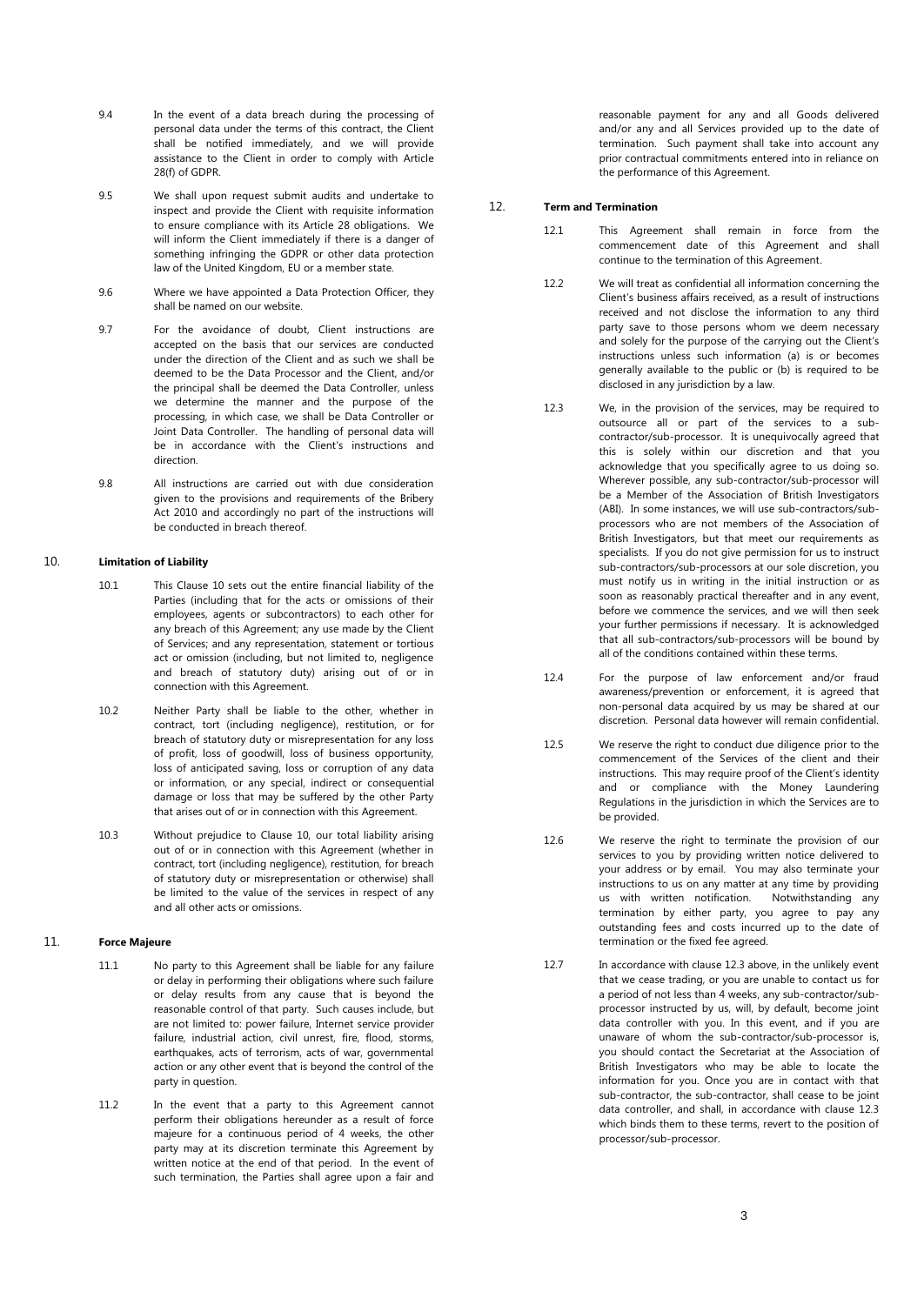- 9.4 In the event of a data breach during the processing of personal data under the terms of this contract, the Client shall be notified immediately, and we will provide assistance to the Client in order to comply with Article 28(f) of GDPR.
- 9.5 We shall upon request submit audits and undertake to inspect and provide the Client with requisite information to ensure compliance with its Article 28 obligations. We will inform the Client immediately if there is a danger of something infringing the GDPR or other data protection law of the United Kingdom, EU or a member state.
- 9.6 Where we have appointed a Data Protection Officer, they shall be named on our website.
- 9.7 For the avoidance of doubt, Client instructions are accepted on the basis that our services are conducted under the direction of the Client and as such we shall be deemed to be the Data Processor and the Client, and/or the principal shall be deemed the Data Controller, unless we determine the manner and the purpose of the processing, in which case, we shall be Data Controller or Joint Data Controller. The handling of personal data will be in accordance with the Client's instructions and direction.
- 9.8 All instructions are carried out with due consideration given to the provisions and requirements of the Bribery Act 2010 and accordingly no part of the instructions will be conducted in breach thereof.

## 10. **Limitation of Liability**

- 10.1 This Clause 10 sets out the entire financial liability of the Parties (including that for the acts or omissions of their employees, agents or subcontractors) to each other for any breach of this Agreement; any use made by the Client of Services; and any representation, statement or tortious act or omission (including, but not limited to, negligence and breach of statutory duty) arising out of or in connection with this Agreement.
- 10.2 Neither Party shall be liable to the other, whether in contract, tort (including negligence), restitution, or for breach of statutory duty or misrepresentation for any loss of profit, loss of goodwill, loss of business opportunity, loss of anticipated saving, loss or corruption of any data or information, or any special, indirect or consequential damage or loss that may be suffered by the other Party that arises out of or in connection with this Agreement.
- 10.3 Without prejudice to Clause 10, our total liability arising out of or in connection with this Agreement (whether in contract, tort (including negligence), restitution, for breach of statutory duty or misrepresentation or otherwise) shall be limited to the value of the services in respect of any and all other acts or omissions.

# 11. **Force Majeure**

- 11.1 No party to this Agreement shall be liable for any failure or delay in performing their obligations where such failure or delay results from any cause that is beyond the reasonable control of that party. Such causes include, but are not limited to: power failure, Internet service provider failure, industrial action, civil unrest, fire, flood, storms, earthquakes, acts of terrorism, acts of war, governmental action or any other event that is beyond the control of the party in question.
- 11.2 In the event that a party to this Agreement cannot perform their obligations hereunder as a result of force majeure for a continuous period of 4 weeks, the other party may at its discretion terminate this Agreement by written notice at the end of that period. In the event of such termination, the Parties shall agree upon a fair and

reasonable payment for any and all Goods delivered and/or any and all Services provided up to the date of termination. Such payment shall take into account any prior contractual commitments entered into in reliance on the performance of this Agreement.

## 12. **Term and Termination**

- 12.1 This Agreement shall remain in force from the commencement date of this Agreement and shall continue to the termination of this Agreement.
- 12.2 We will treat as confidential all information concerning the Client's business affairs received, as a result of instructions received and not disclose the information to any third party save to those persons whom we deem necessary and solely for the purpose of the carrying out the Client's instructions unless such information (a) is or becomes generally available to the public or (b) is required to be disclosed in any jurisdiction by a law.
- 12.3 We, in the provision of the services, may be required to outsource all or part of the services to a subcontractor/sub-processor. It is unequivocally agreed that this is solely within our discretion and that you acknowledge that you specifically agree to us doing so. Wherever possible, any sub-contractor/sub-processor will be a Member of the Association of British Investigators (ABI). In some instances, we will use sub-contractors/subprocessors who are not members of the Association of British Investigators, but that meet our requirements as specialists. If you do not give permission for us to instruct sub-contractors/sub-processors at our sole discretion, you must notify us in writing in the initial instruction or as soon as reasonably practical thereafter and in any event, before we commence the services, and we will then seek your further permissions if necessary. It is acknowledged that all sub-contractors/sub-processors will be bound by all of the conditions contained within these terms.
- 12.4 For the purpose of law enforcement and/or fraud awareness/prevention or enforcement, it is agreed that non-personal data acquired by us may be shared at our discretion. Personal data however will remain confidential.
- 12.5 We reserve the right to conduct due diligence prior to the commencement of the Services of the client and their instructions. This may require proof of the Client's identity and or compliance with the Money Laundering Regulations in the jurisdiction in which the Services are to be provided.
- 12.6 We reserve the right to terminate the provision of our services to you by providing written notice delivered to your address or by email. You may also terminate your instructions to us on any matter at any time by providing us with written notification. Notwithstanding any termination by either party, you agree to pay any outstanding fees and costs incurred up to the date of termination or the fixed fee agreed.
- 12.7 In accordance with clause 12.3 above, in the unlikely event that we cease trading, or you are unable to contact us for a period of not less than 4 weeks, any sub-contractor/subprocessor instructed by us, will, by default, become joint data controller with you. In this event, and if you are unaware of whom the sub-contractor/sub-processor is, you should contact the Secretariat at the Association of British Investigators who may be able to locate the information for you. Once you are in contact with that sub-contractor, the sub-contractor, shall cease to be joint data controller, and shall, in accordance with clause 12.3 which binds them to these terms, revert to the position of processor/sub-processor.